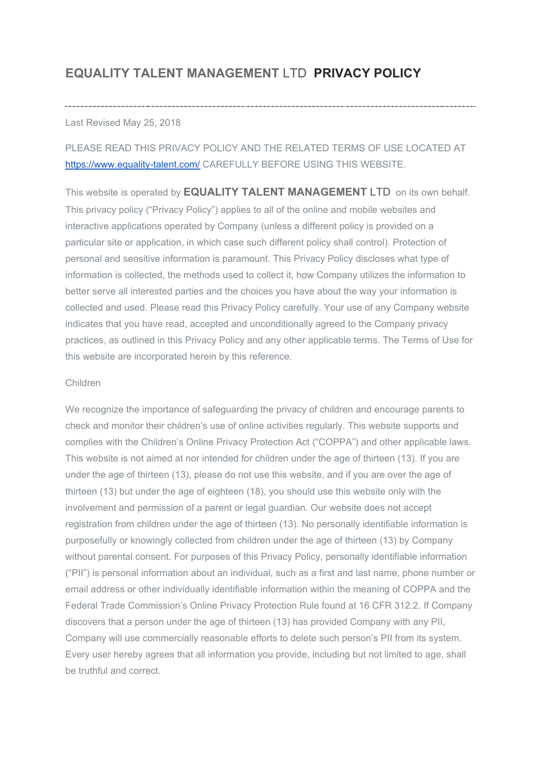# **EQUALITY TALENT MANAGEMENT** LTD **PRIVACY POLICY**

#### Last Revised May 25, 2018

## PLEASE READ THIS PRIVACY POLICY AND THE RELATED TERMS OF USE LOCATED AT <https://www.equality-talent.com/>CAREFULLY BEFORE USING THIS WEBSITE.

This website is operated by **EQUALITY TALENT MANAGEMENT** LTD on its own behalf. This privacy policy ("Privacy Policy") applies to all of the online and mobile websites and interactive applications operated by Company (unless a different policy is provided on a particular site or application, in which case such different policy shall control). Protection of personal and sensitive information is paramount. This Privacy Policy discloses what type of information is collected, the methods used to collect it, how Company utilizes the information to better serve all interested parties and the choices you have about the way your information is collected and used. Please read this Privacy Policy carefully. Your use of any Company website indicates that you have read, accepted and unconditionally agreed to the Company privacy practices, as outlined in this Privacy Policy and any other applicable terms. The Terms of Use for this website are incorporated herein by this reference.

#### Children

We recognize the importance of safeguarding the privacy of children and encourage parents to check and monitor their children's use of online activities regularly. This website supports and complies with the Children's Online Privacy Protection Act ("COPPA") and other applicable laws. This website is not aimed at nor intended for children under the age of thirteen (13). If you are under the age of thirteen (13), please do not use this website, and if you are over the age of thirteen (13) but under the age of eighteen (18), you should use this website only with the involvement and permission of a parent or legal guardian. Our website does not accept registration from children under the age of thirteen (13). No personally identifiable information is purposefully or knowingly collected from children under the age of thirteen (13) by Company without parental consent. For purposes of this Privacy Policy, personally identifiable information ("PII") is personal information about an individual, such as a first and last name, phone number or email address or other individually identifiable information within the meaning of COPPA and the Federal Trade Commission's Online Privacy Protection Rule found at 16 CFR 312.2. If Company discovers that a person under the age of thirteen (13) has provided Company with any PII, Company will use commercially reasonable efforts to delete such person's PII from its system. Every user hereby agrees that all information you provide, including but not limited to age, shall be truthful and correct.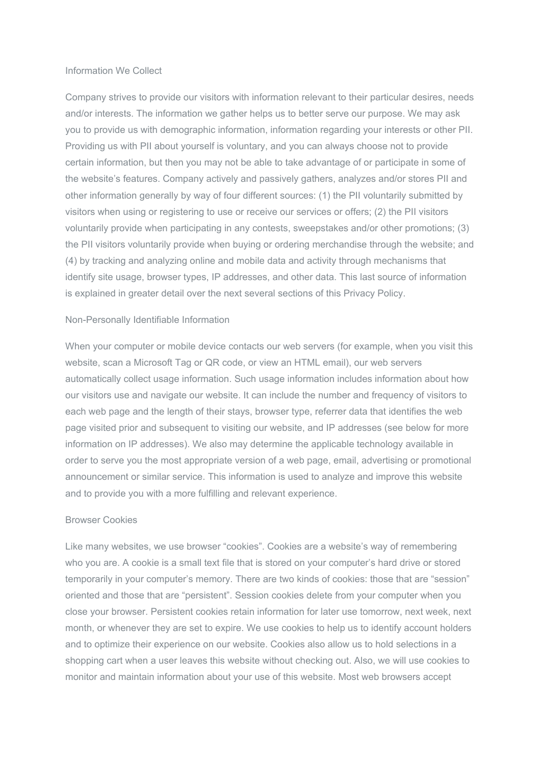#### Information We Collect

Company strives to provide our visitors with information relevant to their particular desires, needs and/or interests. The information we gather helps us to better serve our purpose. We may ask you to provide us with demographic information, information regarding your interests or other PII. Providing us with PII about yourself is voluntary, and you can always choose not to provide certain information, but then you may not be able to take advantage of or participate in some of the website's features. Company actively and passively gathers, analyzes and/or stores PII and other information generally by way of four different sources: (1) the PII voluntarily submitted by visitors when using or registering to use or receive our services or offers; (2) the PII visitors voluntarily provide when participating in any contests, sweepstakes and/or other promotions; (3) the PII visitors voluntarily provide when buying or ordering merchandise through the website; and (4) by tracking and analyzing online and mobile data and activity through mechanisms that identify site usage, browser types, IP addresses, and other data. This last source of information is explained in greater detail over the next several sections of this Privacy Policy.

#### Non-Personally Identifiable Information

When your computer or mobile device contacts our web servers (for example, when you visit this website, scan a Microsoft Tag or QR code, or view an HTML email), our web servers automatically collect usage information. Such usage information includes information about how our visitors use and navigate our website. It can include the number and frequency of visitors to each web page and the length of their stays, browser type, referrer data that identifies the web page visited prior and subsequent to visiting our website, and IP addresses (see below for more information on IP addresses). We also may determine the applicable technology available in order to serve you the most appropriate version of a web page, email, advertising or promotional announcement or similar service. This information is used to analyze and improve this website and to provide you with a more fulfilling and relevant experience.

#### Browser Cookies

Like many websites, we use browser "cookies". Cookies are a website's way of remembering who you are. A cookie is a small text file that is stored on your computer's hard drive or stored temporarily in your computer's memory. There are two kinds of cookies: those that are "session" oriented and those that are "persistent". Session cookies delete from your computer when you close your browser. Persistent cookies retain information for later use tomorrow, next week, next month, or whenever they are set to expire. We use cookies to help us to identify account holders and to optimize their experience on our website. Cookies also allow us to hold selections in a shopping cart when a user leaves this website without checking out. Also, we will use cookies to monitor and maintain information about your use of this website. Most web browsers accept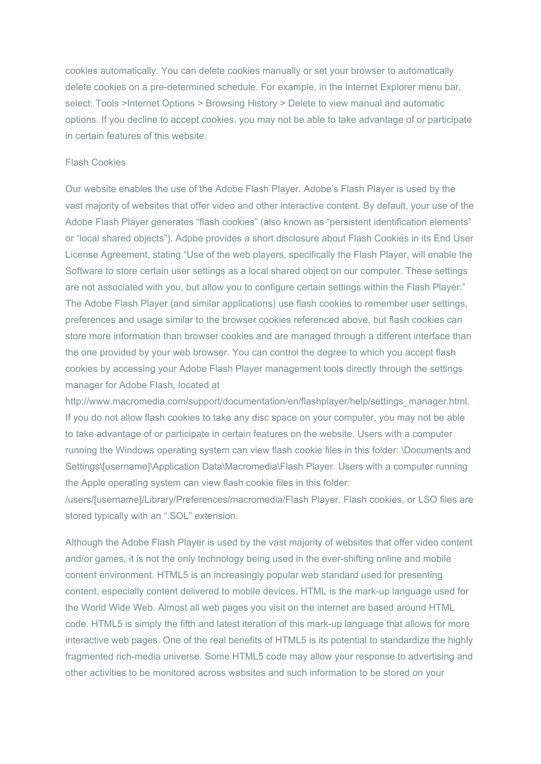cookies automatically. You can delete cookies manually or set your browser to automatically delete cookies on a pre-determined schedule. For example, in the Internet Explorer menu bar, select: Tools >Internet Options > Browsing History > Delete to view manual and automatic options. If you decline to accept cookies, you may not be able to take advantage of or participate in certain features of this website.

#### Flash Cookies

Our website enables the use of the Adobe Flash Player. Adobe's Flash Player is used by the vast majority of websites that offer video and other interactive content. By default, your use of the Adobe Flash Player generates "flash cookies" (also known as "persistent identification elements" or "local shared objects"). Adobe provides a short disclosure about Flash Cookies in its End User License Agreement, stating "Use of the web players, specifically the Flash Player, will enable the Software to store certain user settings as a local shared object on our computer. These settings are not associated with you, but allow you to configure certain settings within the Flash Player." The Adobe Flash Player (and similar applications) use flash cookies to remember user settings, preferences and usage similar to the browser cookies referenced above, but flash cookies can store more information than browser cookies and are managed through a different interface than the one provided by your web browser. You can control the degree to which you accept flash cookies by accessing your Adobe Flash Player management tools directly through the settings manager for Adobe Flash, located at

[http://www.macromedia.com/support/documentation/en/flashplayer/help/settings\\_manager.html.](http://www.macromedia.com/support/documentation/en/flashplayer/help/settings_manager.html) If you do not allow flash cookies to take any disc space on your computer, you may not be able to take advantage of or participate in certain features on the website. Users with a computer running the Windows operating system can view flash cookie files in this folder: \Documents and Settings\[username]\Application Data\Macromedia\Flash Player. Users with a computer running the Apple operating system can view flash cookie files in this folder:

/users/[username]/Library/Preferences/macromedia/Flash Player. Flash cookies, or LSO files are stored typically with an ".SOL" extension.

Although the Adobe Flash Player is used by the vast majority of websites that offer video content and/or games, it is not the only technology being used in the ever-shifting online and mobile content environment. HTML5 is an increasingly popular web standard used for presenting content, especially content delivered to mobile devices. HTML is the mark-up language used for the World Wide Web. Almost all web pages you visit on the internet are based around HTML code. HTML5 is simply the fifth and latest iteration of this mark-up language that allows for more interactive web pages. One of the real benefits of HTML5 is its potential to standardize the highly fragmented rich-media universe. Some HTML5 code may allow your response to advertising and other activities to be monitored across websites and such information to be stored on your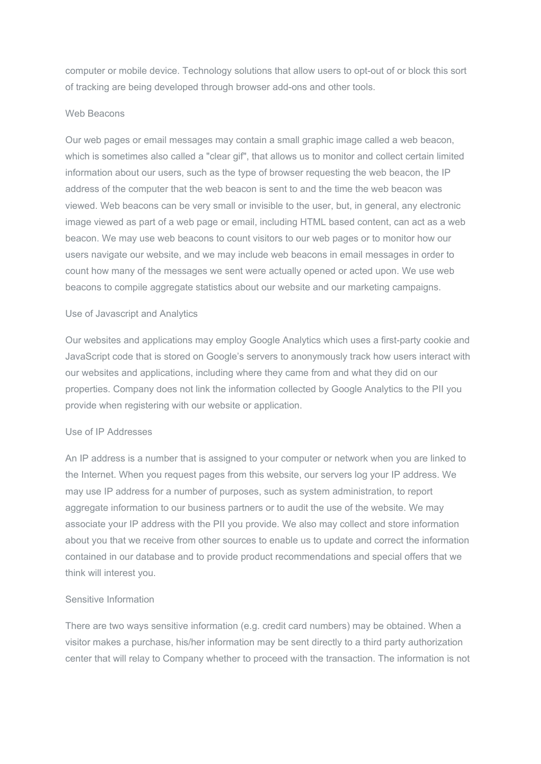computer or mobile device. Technology solutions that allow users to opt-out of or block this sort of tracking are being developed through browser add-ons and other tools.

#### Web Beacons

Our web pages or email messages may contain a small graphic image called a web beacon, which is sometimes also called a "clear gif", that allows us to monitor and collect certain limited information about our users, such as the type of browser requesting the web beacon, the IP address of the computer that the web beacon is sent to and the time the web beacon was viewed. Web beacons can be very small or invisible to the user, but, in general, any electronic image viewed as part of a web page or email, including HTML based content, can act as a web beacon. We may use web beacons to count visitors to our web pages or to monitor how our users navigate our website, and we may include web beacons in email messages in order to count how many of the messages we sent were actually opened or acted upon. We use web beacons to compile aggregate statistics about our website and our marketing campaigns.

## Use of Javascript and Analytics

Our websites and applications may employ Google Analytics which uses a first-party cookie and JavaScript code that is stored on Google's servers to anonymously track how users interact with our websites and applications, including where they came from and what they did on our properties. Company does not link the information collected by Google Analytics to the PII you provide when registering with our website or application.

## Use of IP Addresses

An IP address is a number that is assigned to your computer or network when you are linked to the Internet. When you request pages from this website, our servers log your IP address. We may use IP address for a number of purposes, such as system administration, to report aggregate information to our business partners or to audit the use of the website. We may associate your IP address with the PII you provide. We also may collect and store information about you that we receive from other sources to enable us to update and correct the information contained in our database and to provide product recommendations and special offers that we think will interest you.

## Sensitive Information

There are two ways sensitive information (e.g. credit card numbers) may be obtained. When a visitor makes a purchase, his/her information may be sent directly to a third party authorization center that will relay to Company whether to proceed with the transaction. The information is not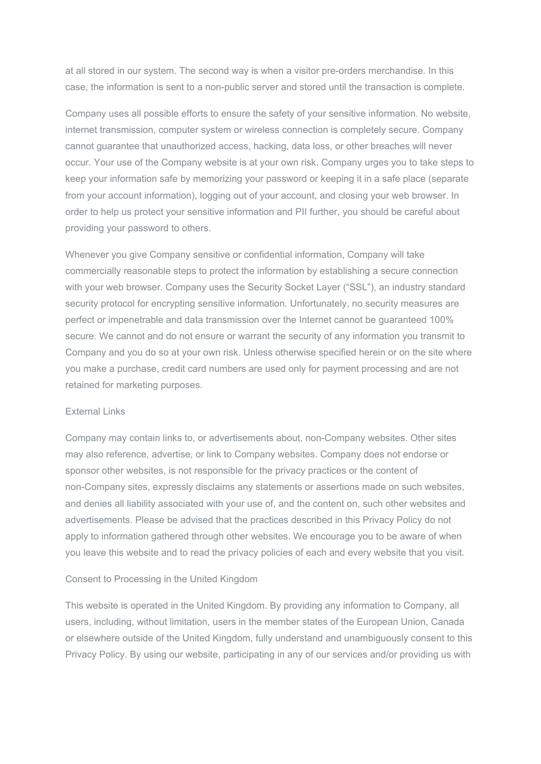at all stored in our system. The second way is when a visitor pre-orders merchandise. In this case, the information is sent to a non-public server and stored until the transaction is complete.

Company uses all possible efforts to ensure the safety of your sensitive information. No website, internet transmission, computer system or wireless connection is completely secure. Company cannot guarantee that unauthorized access, hacking, data loss, or other breaches will never occur. Your use of the Company website is at your own risk. Company urges you to take steps to keep your information safe by memorizing your password or keeping it in a safe place (separate from your account information), logging out of your account, and closing your web browser. In order to help us protect your sensitive information and PII further, you should be careful about providing your password to others.

Whenever you give Company sensitive or confidential information, Company will take commercially reasonable steps to protect the information by establishing a secure connection with your web browser. Company uses the Security Socket Layer ("SSL"), an industry standard security protocol for encrypting sensitive information. Unfortunately, no security measures are perfect or impenetrable and data transmission over the Internet cannot be guaranteed 100% secure. We cannot and do not ensure or warrant the security of any information you transmit to Company and you do so at your own risk. Unless otherwise specified herein or on the site where you make a purchase, credit card numbers are used only for payment processing and are not retained for marketing purposes.

#### External Links

Company may contain links to, or advertisements about, non-Company websites. Other sites may also reference, advertise, or link to Company websites. Company does not endorse or sponsor other websites, is not responsible for the privacy practices or the content of non-Company sites, expressly disclaims any statements or assertions made on such websites, and denies all liability associated with your use of, and the content on, such other websites and advertisements. Please be advised that the practices described in this Privacy Policy do not apply to information gathered through other websites. We encourage you to be aware of when you leave this website and to read the privacy policies of each and every website that you visit.

#### Consent to Processing in the United Kingdom

This website is operated in the United Kingdom. By providing any information to Company, all users, including, without limitation, users in the member states of the European Union, Canada or elsewhere outside of the United Kingdom, fully understand and unambiguously consent to this Privacy Policy. By using our website, participating in any of our services and/or providing us with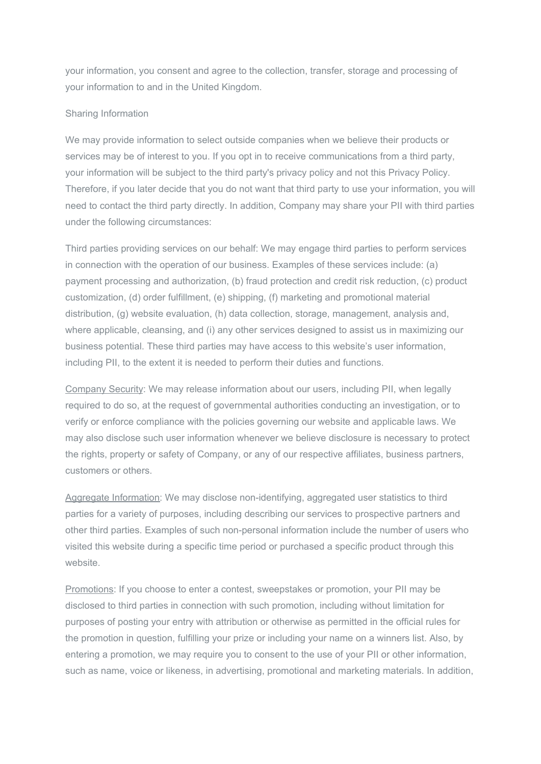your information, you consent and agree to the collection, transfer, storage and processing of your information to and in the United Kingdom.

## Sharing Information

We may provide information to select outside companies when we believe their products or services may be of interest to you. If you opt in to receive communications from a third party, your information will be subject to the third party's privacy policy and not this Privacy Policy. Therefore, if you later decide that you do not want that third party to use your information, you will need to contact the third party directly. In addition, Company may share your PII with third parties under the following circumstances:

Third parties providing services on our behalf: We may engage third parties to perform services in connection with the operation of our business. Examples of these services include: (a) payment processing and authorization, (b) fraud protection and credit risk reduction, (c) product customization, (d) order fulfillment, (e) shipping, (f) marketing and promotional material distribution, (g) website evaluation, (h) data collection, storage, management, analysis and, where applicable, cleansing, and (i) any other services designed to assist us in maximizing our business potential. These third parties may have access to this website's user information, including PII, to the extent it is needed to perform their duties and functions.

Company Security: We may release information about our users, including PII, when legally required to do so, at the request of governmental authorities conducting an investigation, or to verify or enforce compliance with the policies governing our website and applicable laws. We may also disclose such user information whenever we believe disclosure is necessary to protect the rights, property or safety of Company, or any of our respective affiliates, business partners, customers or others.

Aggregate Information: We may disclose non-identifying, aggregated user statistics to third parties for a variety of purposes, including describing our services to prospective partners and other third parties. Examples of such non-personal information include the number of users who visited this website during a specific time period or purchased a specific product through this website.

Promotions: If you choose to enter a contest, sweepstakes or promotion, your PII may be disclosed to third parties in connection with such promotion, including without limitation for purposes of posting your entry with attribution or otherwise as permitted in the official rules for the promotion in question, fulfilling your prize or including your name on a winners list. Also, by entering a promotion, we may require you to consent to the use of your PII or other information, such as name, voice or likeness, in advertising, promotional and marketing materials. In addition,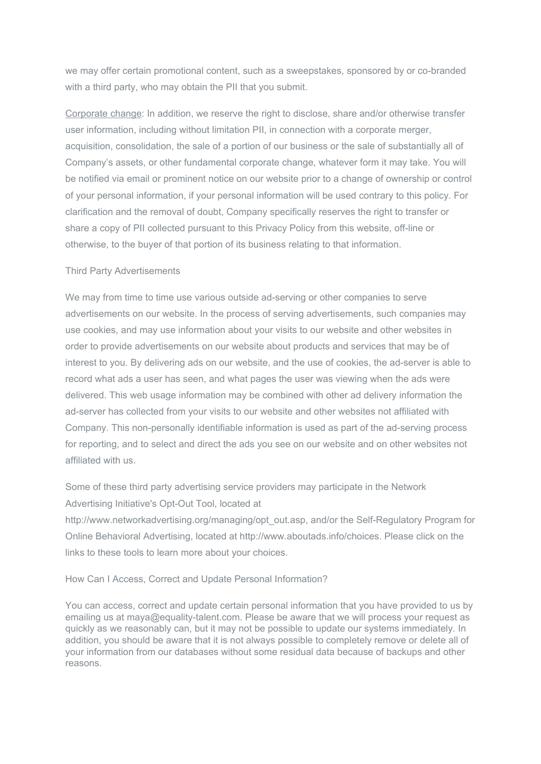we may offer certain promotional content, such as a sweepstakes, sponsored by or co-branded with a third party, who may obtain the PII that you submit.

Corporate change: In addition, we reserve the right to disclose, share and/or otherwise transfer user information, including without limitation PII, in connection with a corporate merger, acquisition, consolidation, the sale of a portion of our business or the sale of substantially all of Company's assets, or other fundamental corporate change, whatever form it may take. You will be notified via email or prominent notice on our website prior to a change of ownership or control of your personal information, if your personal information will be used contrary to this policy. For clarification and the removal of doubt, Company specifically reserves the right to transfer or share a copy of PII collected pursuant to this Privacy Policy from this website, off-line or otherwise, to the buyer of that portion of its business relating to that information.

## Third Party Advertisements

We may from time to time use various outside ad-serving or other companies to serve advertisements on our website. In the process of serving advertisements, such companies may use cookies, and may use information about your visits to our website and other websites in order to provide advertisements on our website about products and services that may be of interest to you. By delivering ads on our website, and the use of cookies, the ad-server is able to record what ads a user has seen, and what pages the user was viewing when the ads were delivered. This web usage information may be combined with other ad delivery information the ad-server has collected from your visits to our website and other websites not affiliated with Company. This non-personally identifiable information is used as part of the ad-serving process for reporting, and to select and direct the ads you see on our website and on other websites not affiliated with us.

Some of these third party advertising service providers may participate in the Network Advertising Initiative's Opt-Out Tool, located at

[http://www.networkadvertising.org/managing/opt\\_out.asp,](http://www.networkadvertising.org/managing/opt_out.asp%22) and/or the Self-Regulatory Program for Online Behavioral Advertising, located at [http://www.aboutads.info/choices.](http://www.aboutads.info/choices) Please click on the links to these tools to learn more about your choices.

How Can I Access, Correct and Update Personal Information?

You can access, correct and update certain personal information that you have provided to us by emailing us at maya@equality-talent.com. Please be aware that we will process your request as quickly as we reasonably can, but it may not be possible to update our systems immediately. In addition, you should be aware that it is not always possible to completely remove or delete all of your information from our databases without some residual data because of backups and other reasons.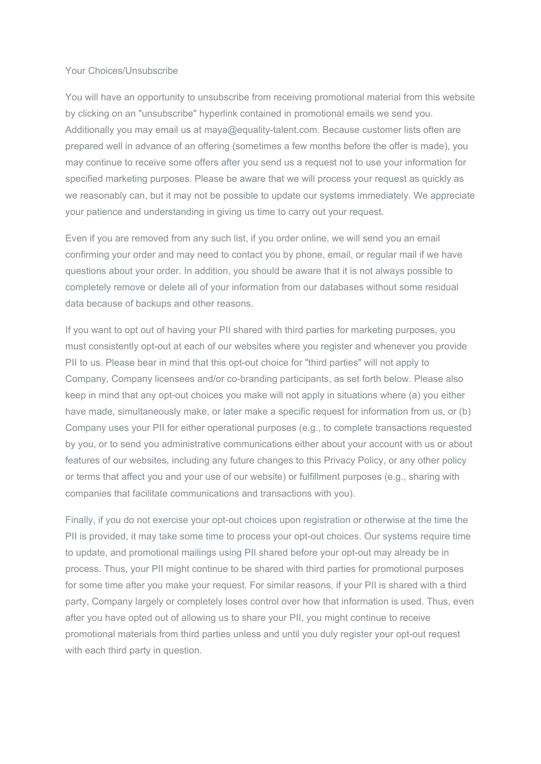#### Your Choices/Unsubscribe

You will have an opportunity to unsubscribe from receiving promotional material from this website by clicking on an "unsubscribe" hyperlink contained in promotional emails we send you. Additionally you may email us at maya@equality-talent.com. Because customer lists often are prepared well in advance of an offering (sometimes a few months before the offer is made), you may continue to receive some offers after you send us a request not to use your information for specified marketing purposes. Please be aware that we will process your request as quickly as we reasonably can, but it may not be possible to update our systems immediately. We appreciate your patience and understanding in giving us time to carry out your request.

Even if you are removed from any such list, if you order online, we will send you an email confirming your order and may need to contact you by phone, email, or regular mail if we have questions about your order. In addition, you should be aware that it is not always possible to completely remove or delete all of your information from our databases without some residual data because of backups and other reasons.

If you want to opt out of having your PII shared with third parties for marketing purposes, you must consistently opt-out at each of our websites where you register and whenever you provide PII to us. Please bear in mind that this opt-out choice for "third parties" will not apply to Company, Company licensees and/or co-branding participants, as set forth below. Please also keep in mind that any opt-out choices you make will not apply in situations where (a) you either have made, simultaneously make, or later make a specific request for information from us, or (b) Company uses your PII for either operational purposes (e.g., to complete transactions requested by you, or to send you administrative communications either about your account with us or about features of our websites, including any future changes to this Privacy Policy, or any other policy or terms that affect you and your use of our website) or fulfillment purposes (e.g., sharing with companies that facilitate communications and transactions with you).

Finally, if you do not exercise your opt-out choices upon registration or otherwise at the time the PII is provided, it may take some time to process your opt-out choices. Our systems require time to update, and promotional mailings using PII shared before your opt-out may already be in process. Thus, your PII might continue to be shared with third parties for promotional purposes for some time after you make your request. For similar reasons, if your PII is shared with a third party, Company largely or completely loses control over how that information is used. Thus, even after you have opted out of allowing us to share your PII, you might continue to receive promotional materials from third parties unless and until you duly register your opt-out request with each third party in question.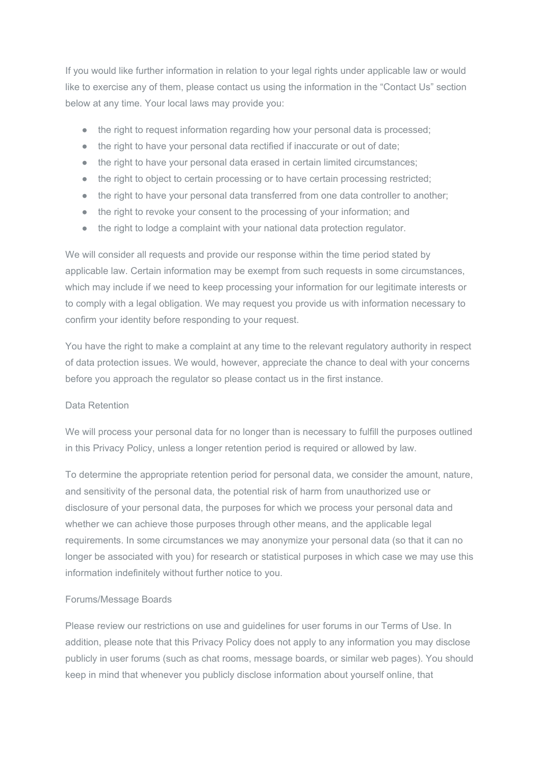If you would like further information in relation to your legal rights under applicable law or would like to exercise any of them, please contact us using the information in the "Contact Us" section below at any time. Your local laws may provide you:

- the right to request information regarding how your personal data is processed;
- the right to have your personal data rectified if inaccurate or out of date;
- the right to have your personal data erased in certain limited circumstances;
- the right to object to certain processing or to have certain processing restricted;
- the right to have your personal data transferred from one data controller to another;
- the right to revoke your consent to the processing of your information; and
- the right to lodge a complaint with your national data protection regulator.

We will consider all requests and provide our response within the time period stated by applicable law. Certain information may be exempt from such requests in some circumstances, which may include if we need to keep processing your information for our legitimate interests or to comply with a legal obligation. We may request you provide us with information necessary to confirm your identity before responding to your request.

You have the right to make a complaint at any time to the relevant regulatory authority in respect of data protection issues. We would, however, appreciate the chance to deal with your concerns before you approach the regulator so please contact us in the first instance.

## Data Retention

We will process your personal data for no longer than is necessary to fulfill the purposes outlined in this Privacy Policy, unless a longer retention period is required or allowed by law.

To determine the appropriate retention period for personal data, we consider the amount, nature, and sensitivity of the personal data, the potential risk of harm from unauthorized use or disclosure of your personal data, the purposes for which we process your personal data and whether we can achieve those purposes through other means, and the applicable legal requirements. In some circumstances we may anonymize your personal data (so that it can no longer be associated with you) for research or statistical purposes in which case we may use this information indefinitely without further notice to you.

## Forums/Message Boards

Please review our restrictions on use and guidelines for user forums in our Terms of Use. In addition, please note that this Privacy Policy does not apply to any information you may disclose publicly in user forums (such as chat rooms, message boards, or similar web pages). You should keep in mind that whenever you publicly disclose information about yourself online, that